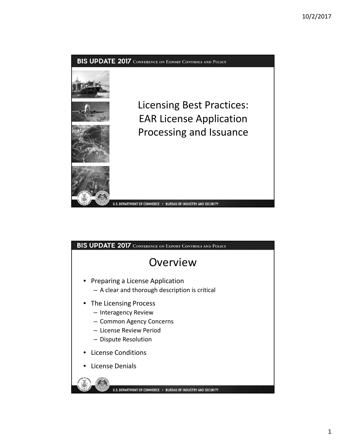

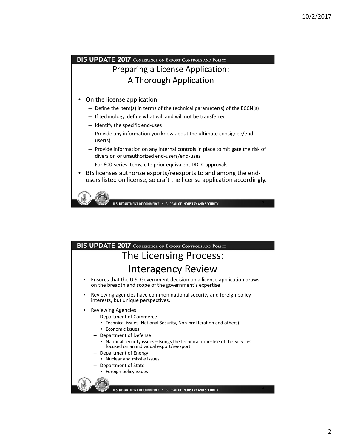#### BIS UPDATE 2017 CONFERENCE ON EXPORT CONTROLS AND POLICY Preparing a License Application: A Thorough Application • On the license application – Define the item(s) in terms of the technical parameter(s) of the ECCN(s) – If technology, define what will and will not be transferred – Identify the specific end‐uses – Provide any information you know about the ultimate consignee/end‐ user(s) – Provide information on any internal controls in place to mitigate the risk of diversion or unauthorized end‐users/end‐uses – For 600‐series items, cite prior equivalent DDTC approvals • BIS licenses authorize exports/reexports to and among the end‐ users listed on license, so craft the license application accordingly.



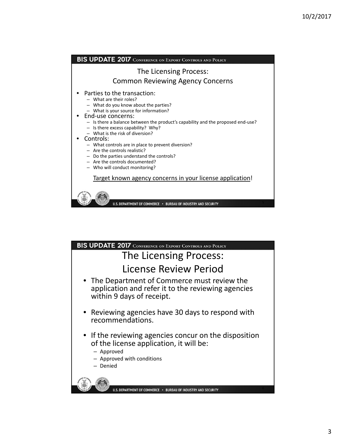

| <b>BIS UPDATE 2017</b> CONFERENCE ON EXPORT CONTROLS AND POLICY                                                                                          |
|----------------------------------------------------------------------------------------------------------------------------------------------------------|
| The Licensing Process:                                                                                                                                   |
| License Review Period                                                                                                                                    |
| • The Department of Commerce must review the<br>application and refer it to the reviewing agencies<br>within 9 days of receipt.                          |
| • Reviewing agencies have 30 days to respond with<br>recommendations.                                                                                    |
| • If the reviewing agencies concur on the disposition<br>of the license application, it will be:<br>- Approved<br>- Approved with conditions<br>- Denied |
|                                                                                                                                                          |
| U.S. DEPARTMENT OF COMMERCE . BUREAU OF INDUSTRY AND SECURITY                                                                                            |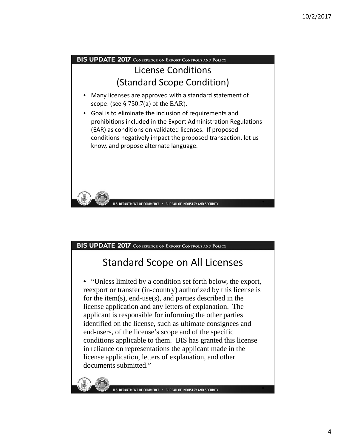

### Standard Scope on All Licenses

• "Unless limited by a condition set forth below, the export, reexport or transfer (in-country) authorized by this license is for the item(s), end-use(s), and parties described in the license application and any letters of explanation. The applicant is responsible for informing the other parties identified on the license, such as ultimate consignees and end-users, of the license's scope and of the specific conditions applicable to them. BIS has granted this license in reliance on representations the applicant made in the license application, letters of explanation, and other documents submitted."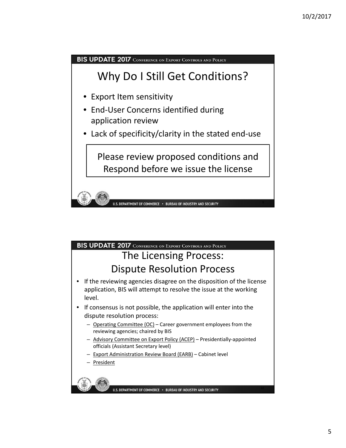

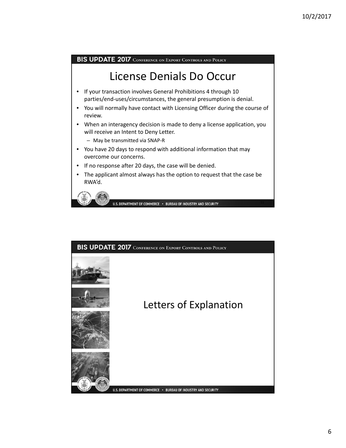## License Denials Do Occur

- If your transaction involves General Prohibitions 4 through 10 parties/end‐uses/circumstances, the general presumption is denial.
- You will normally have contact with Licensing Officer during the course of review.
- When an interagency decision is made to deny a license application, you will receive an Intent to Deny Letter.
	- May be transmitted via SNAP‐R
- You have 20 days to respond with additional information that may overcome our concerns.
- If no response after 20 days, the case will be denied.
- The applicant almost always has the option to request that the case be RWA'd.



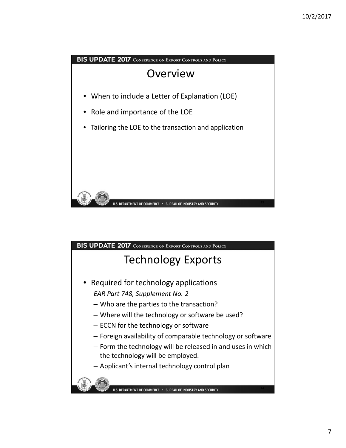

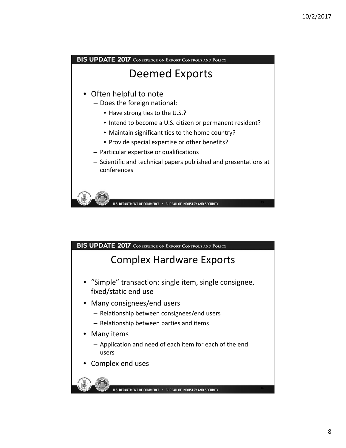

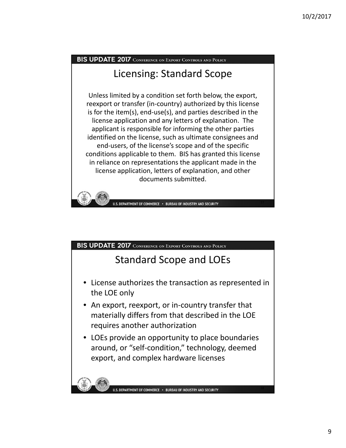### Licensing: Standard Scope

Unless limited by a condition set forth below, the export, reexport or transfer (in‐country) authorized by this license is for the item(s), end‐use(s), and parties described in the license application and any letters of explanation. The applicant is responsible for informing the other parties identified on the license, such as ultimate consignees and end‐users, of the license's scope and of the specific conditions applicable to them. BIS has granted this license in reliance on representations the applicant made in the license application, letters of explanation, and other documents submitted.



#### BIS UPDATE 2017 CONFERENCE ON EXPORT CONTROLS AND POLICY

#### Standard Scope and LOEs

- License authorizes the transaction as represented in the LOE only
- An export, reexport, or in-country transfer that materially differs from that described in the LOE requires another authorization
- LOEs provide an opportunity to place boundaries around, or "self‐condition," technology, deemed export, and complex hardware licenses